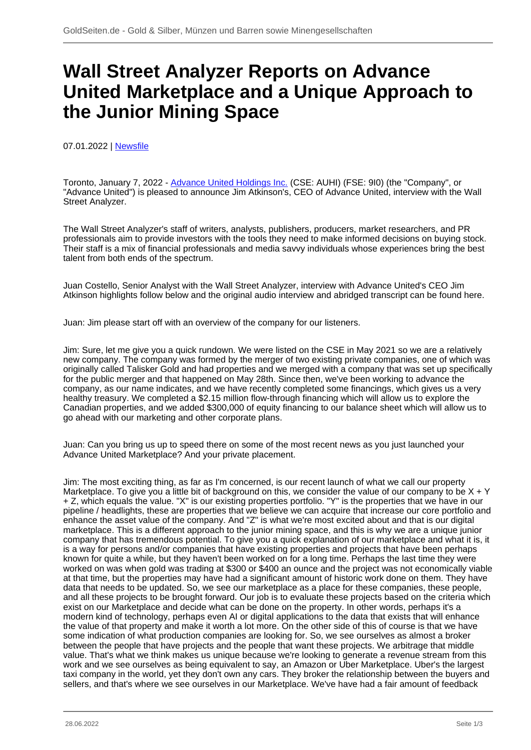## **Wall Street Analyzer Reports on Advance United Marketplace and a Unique Approach to the Junior Mining Space**

07.01.2022 | [Newsfile](/profil/273--Newsfile)

Toronto, January 7, 2022 - [Advance United Holdings Inc.](/minen/4105--Advance-United-Holdings-Inc) (CSE: AUHI) (FSE: 9I0) (the "Company", or "Advance United") is pleased to announce Jim Atkinson's, CEO of Advance United, interview with the Wall Street Analyzer.

The Wall Street Analyzer's staff of writers, analysts, publishers, producers, market researchers, and PR professionals aim to provide investors with the tools they need to make informed decisions on buying stock. Their staff is a mix of financial professionals and media savvy individuals whose experiences bring the best talent from both ends of the spectrum.

Juan Costello, Senior Analyst with the Wall Street Analyzer, interview with Advance United's CEO Jim Atkinson highlights follow below and the original audio interview and abridged transcript can be found here.

Juan: Jim please start off with an overview of the company for our listeners.

Jim: Sure, let me give you a quick rundown. We were listed on the CSE in May 2021 so we are a relatively new company. The company was formed by the merger of two existing private companies, one of which was originally called Talisker Gold and had properties and we merged with a company that was set up specifically for the public merger and that happened on May 28th. Since then, we've been working to advance the company, as our name indicates, and we have recently completed some financings, which gives us a very healthy treasury. We completed a \$2.15 million flow-through financing which will allow us to explore the Canadian properties, and we added \$300,000 of equity financing to our balance sheet which will allow us to go ahead with our marketing and other corporate plans.

Juan: Can you bring us up to speed there on some of the most recent news as you just launched your Advance United Marketplace? And your private placement.

Jim: The most exciting thing, as far as I'm concerned, is our recent launch of what we call our property Marketplace. To give you a little bit of background on this, we consider the value of our company to be  $X + Y$ + Z, which equals the value. "X" is our existing properties portfolio. "Y" is the properties that we have in our pipeline / headlights, these are properties that we believe we can acquire that increase our core portfolio and enhance the asset value of the company. And "Z" is what we're most excited about and that is our digital marketplace. This is a different approach to the junior mining space, and this is why we are a unique junior company that has tremendous potential. To give you a quick explanation of our marketplace and what it is, it is a way for persons and/or companies that have existing properties and projects that have been perhaps known for quite a while, but they haven't been worked on for a long time. Perhaps the last time they were worked on was when gold was trading at \$300 or \$400 an ounce and the project was not economically viable at that time, but the properties may have had a significant amount of historic work done on them. They have data that needs to be updated. So, we see our marketplace as a place for these companies, these people, and all these projects to be brought forward. Our job is to evaluate these projects based on the criteria which exist on our Marketplace and decide what can be done on the property. In other words, perhaps it's a modern kind of technology, perhaps even AI or digital applications to the data that exists that will enhance the value of that property and make it worth a lot more. On the other side of this of course is that we have some indication of what production companies are looking for. So, we see ourselves as almost a broker between the people that have projects and the people that want these projects. We arbitrage that middle value. That's what we think makes us unique because we're looking to generate a revenue stream from this work and we see ourselves as being equivalent to say, an Amazon or Uber Marketplace. Uber's the largest taxi company in the world, yet they don't own any cars. They broker the relationship between the buyers and sellers, and that's where we see ourselves in our Marketplace. We've have had a fair amount of feedback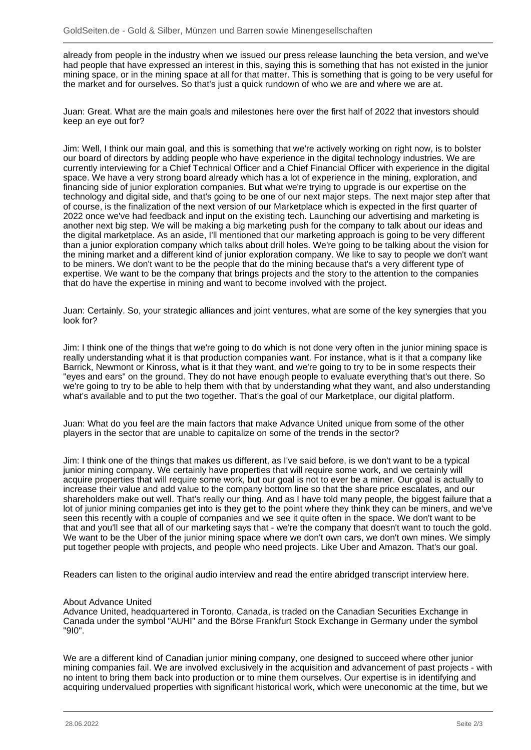already from people in the industry when we issued our press release launching the beta version, and we've had people that have expressed an interest in this, saying this is something that has not existed in the junior mining space, or in the mining space at all for that matter. This is something that is going to be very useful for the market and for ourselves. So that's just a quick rundown of who we are and where we are at.

Juan: Great. What are the main goals and milestones here over the first half of 2022 that investors should keep an eye out for?

Jim: Well, I think our main goal, and this is something that we're actively working on right now, is to bolster our board of directors by adding people who have experience in the digital technology industries. We are currently interviewing for a Chief Technical Officer and a Chief Financial Officer with experience in the digital space. We have a very strong board already which has a lot of experience in the mining, exploration, and financing side of junior exploration companies. But what we're trying to upgrade is our expertise on the technology and digital side, and that's going to be one of our next major steps. The next major step after that of course, is the finalization of the next version of our Marketplace which is expected in the first quarter of 2022 once we've had feedback and input on the existing tech. Launching our advertising and marketing is another next big step. We will be making a big marketing push for the company to talk about our ideas and the digital marketplace. As an aside, I'll mentioned that our marketing approach is going to be very different than a junior exploration company which talks about drill holes. We're going to be talking about the vision for the mining market and a different kind of junior exploration company. We like to say to people we don't want to be miners. We don't want to be the people that do the mining because that's a very different type of expertise. We want to be the company that brings projects and the story to the attention to the companies that do have the expertise in mining and want to become involved with the project.

Juan: Certainly. So, your strategic alliances and joint ventures, what are some of the key synergies that you look for?

Jim: I think one of the things that we're going to do which is not done very often in the junior mining space is really understanding what it is that production companies want. For instance, what is it that a company like Barrick, Newmont or Kinross, what is it that they want, and we're going to try to be in some respects their "eyes and ears" on the ground. They do not have enough people to evaluate everything that's out there. So we're going to try to be able to help them with that by understanding what they want, and also understanding what's available and to put the two together. That's the goal of our Marketplace, our digital platform.

Juan: What do you feel are the main factors that make Advance United unique from some of the other players in the sector that are unable to capitalize on some of the trends in the sector?

Jim: I think one of the things that makes us different, as I've said before, is we don't want to be a typical junior mining company. We certainly have properties that will require some work, and we certainly will acquire properties that will require some work, but our goal is not to ever be a miner. Our goal is actually to increase their value and add value to the company bottom line so that the share price escalates, and our shareholders make out well. That's really our thing. And as I have told many people, the biggest failure that a lot of junior mining companies get into is they get to the point where they think they can be miners, and we've seen this recently with a couple of companies and we see it quite often in the space. We don't want to be that and you'll see that all of our marketing says that - we're the company that doesn't want to touch the gold. We want to be the Uber of the junior mining space where we don't own cars, we don't own mines. We simply put together people with projects, and people who need projects. Like Uber and Amazon. That's our goal.

Readers can listen to the original audio interview and read the entire abridged transcript interview here.

## About Advance United

Advance United, headquartered in Toronto, Canada, is traded on the Canadian Securities Exchange in Canada under the symbol "AUHI" and the Börse Frankfurt Stock Exchange in Germany under the symbol "9I0".

We are a different kind of Canadian junior mining company, one designed to succeed where other junior mining companies fail. We are involved exclusively in the acquisition and advancement of past projects - with no intent to bring them back into production or to mine them ourselves. Our expertise is in identifying and acquiring undervalued properties with significant historical work, which were uneconomic at the time, but we